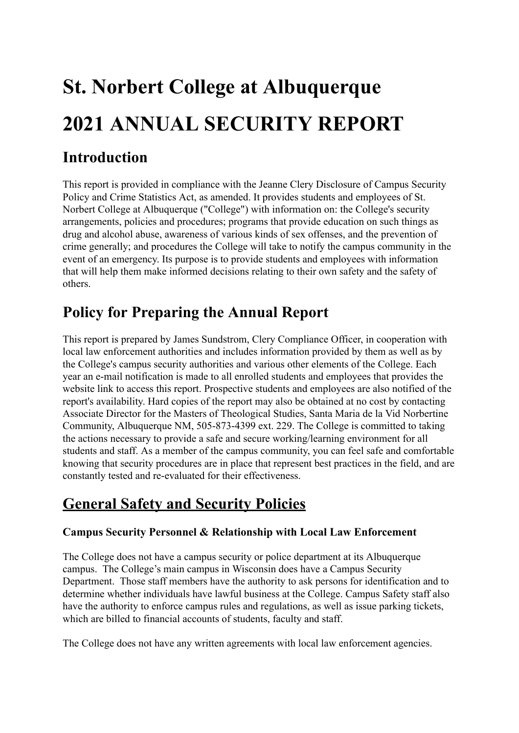# **St. Norbert College at Albuquerque 2021 ANNUAL SECURITY REPORT**

# **Introduction**

This report is provided in compliance with the Jeanne Clery Disclosure of Campus Security Policy and Crime Statistics Act, as amended. It provides students and employees of St. Norbert College at Albuquerque ("College") with information on: the College's security arrangements, policies and procedures; programs that provide education on such things as drug and alcohol abuse, awareness of various kinds of sex offenses, and the prevention of crime generally; and procedures the College will take to notify the campus community in the event of an emergency. Its purpose is to provide students and employees with information that will help them make informed decisions relating to their own safety and the safety of others.

# **Policy for Preparing the Annual Report**

This report is prepared by James Sundstrom, Clery Compliance Officer, in cooperation with local law enforcement authorities and includes information provided by them as well as by the College's campus security authorities and various other elements of the College. Each year an e-mail notification is made to all enrolled students and employees that provides the website link to access this report. Prospective students and employees are also notified of the report's availability. Hard copies of the report may also be obtained at no cost by contacting Associate Director for the Masters of Theological Studies, Santa Maria de la Vid Norbertine Community, Albuquerque NM, 505-873-4399 ext. 229. The College is committed to taking the actions necessary to provide a safe and secure working/learning environment for all students and staff. As a member of the campus community, you can feel safe and comfortable knowing that security procedures are in place that represent best practices in the field, and are constantly tested and re-evaluated for their effectiveness.

# **General Safety and Security Policies**

# **Campus Security Personnel & Relationship with Local Law Enforcement**

The College does not have a campus security or police department at its Albuquerque campus. The College's main campus in Wisconsin does have a Campus Security Department. Those staff members have the authority to ask persons for identification and to determine whether individuals have lawful business at the College. Campus Safety staff also have the authority to enforce campus rules and regulations, as well as issue parking tickets, which are billed to financial accounts of students, faculty and staff.

The College does not have any written agreements with local law enforcement agencies.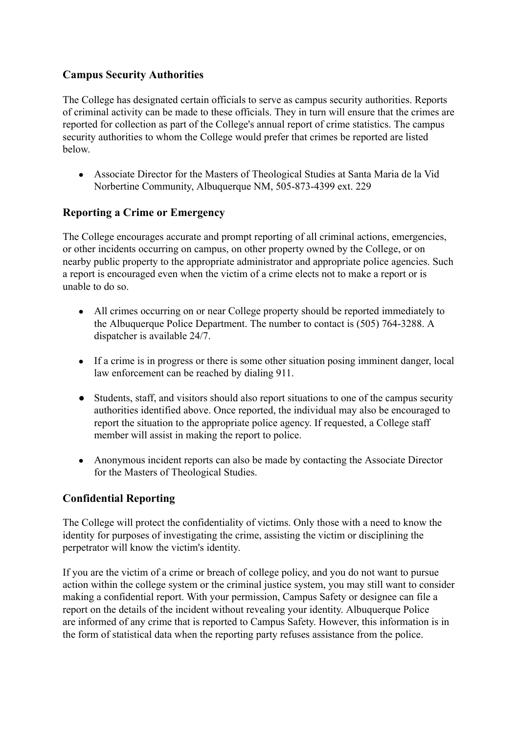# **Campus Security Authorities**

The College has designated certain officials to serve as campus security authorities. Reports of criminal activity can be made to these officials. They in turn will ensure that the crimes are reported for collection as part of the College's annual report of crime statistics. The campus security authorities to whom the College would prefer that crimes be reported are listed below.

● Associate Director for the Masters of Theological Studies at Santa Maria de la Vid Norbertine Community, Albuquerque NM, 505-873-4399 ext. 229

# **Reporting a Crime or Emergency**

The College encourages accurate and prompt reporting of all criminal actions, emergencies, or other incidents occurring on campus, on other property owned by the College, or on nearby public property to the appropriate administrator and appropriate police agencies. Such a report is encouraged even when the victim of a crime elects not to make a report or is unable to do so.

- All crimes occurring on or near College property should be reported immediately to the Albuquerque Police Department. The number to contact is (505) 764-3288. A dispatcher is available 24/7.
- If a crime is in progress or there is some other situation posing imminent danger, local law enforcement can be reached by dialing 911.
- Students, staff, and visitors should also report situations to one of the campus security authorities identified above. Once reported, the individual may also be encouraged to report the situation to the appropriate police agency. If requested, a College staff member will assist in making the report to police.
- Anonymous incident reports can also be made by contacting the Associate Director for the Masters of Theological Studies.

# **Confidential Reporting**

The College will protect the confidentiality of victims. Only those with a need to know the identity for purposes of investigating the crime, assisting the victim or disciplining the perpetrator will know the victim's identity.

If you are the victim of a crime or breach of college policy, and you do not want to pursue action within the college system or the criminal justice system, you may still want to consider making a confidential report. With your permission, Campus Safety or designee can file a report on the details of the incident without revealing your identity. Albuquerque Police are informed of any crime that is reported to Campus Safety. However, this information is in the form of statistical data when the reporting party refuses assistance from the police.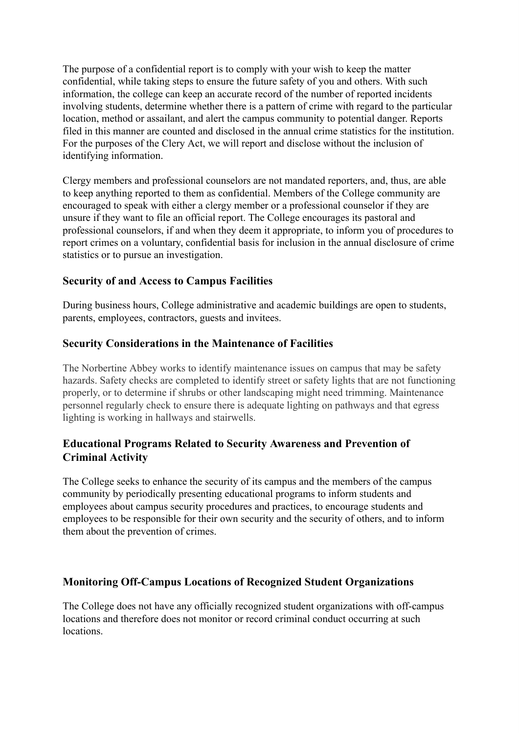The purpose of a confidential report is to comply with your wish to keep the matter confidential, while taking steps to ensure the future safety of you and others. With such information, the college can keep an accurate record of the number of reported incidents involving students, determine whether there is a pattern of crime with regard to the particular location, method or assailant, and alert the campus community to potential danger. Reports filed in this manner are counted and disclosed in the annual crime statistics for the institution. For the purposes of the Clery Act, we will report and disclose without the inclusion of identifying information.

Clergy members and professional counselors are not mandated reporters, and, thus, are able to keep anything reported to them as confidential. Members of the College community are encouraged to speak with either a clergy member or a professional counselor if they are unsure if they want to file an official report. The College encourages its pastoral and professional counselors, if and when they deem it appropriate, to inform you of procedures to report crimes on a voluntary, confidential basis for inclusion in the annual disclosure of crime statistics or to pursue an investigation.

#### **Security of and Access to Campus Facilities**

During business hours, College administrative and academic buildings are open to students, parents, employees, contractors, guests and invitees.

#### **Security Considerations in the Maintenance of Facilities**

The Norbertine Abbey works to identify maintenance issues on campus that may be safety hazards. Safety checks are completed to identify street or safety lights that are not functioning properly, or to determine if shrubs or other landscaping might need trimming. Maintenance personnel regularly check to ensure there is adequate lighting on pathways and that egress lighting is working in hallways and stairwells.

# **Educational Programs Related to Security Awareness and Prevention of Criminal Activity**

The College seeks to enhance the security of its campus and the members of the campus community by periodically presenting educational programs to inform students and employees about campus security procedures and practices, to encourage students and employees to be responsible for their own security and the security of others, and to inform them about the prevention of crimes.

# **Monitoring Off-Campus Locations of Recognized Student Organizations**

The College does not have any officially recognized student organizations with off-campus locations and therefore does not monitor or record criminal conduct occurring at such locations.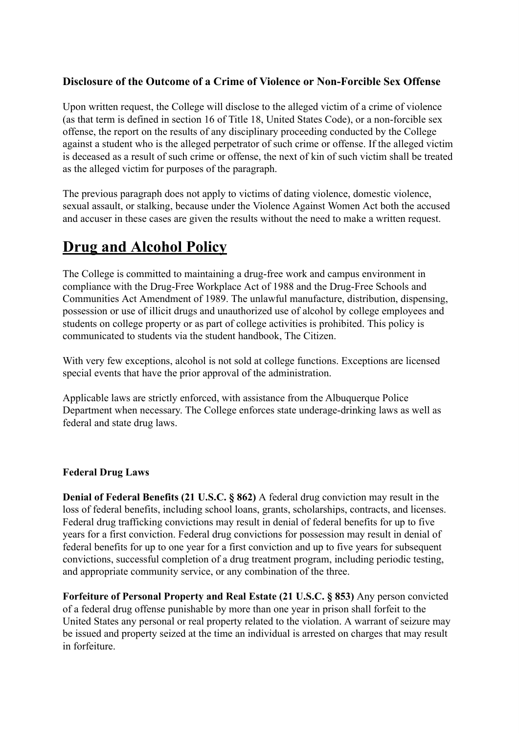# **Disclosure of the Outcome of a Crime of Violence or Non-Forcible Sex Offense**

Upon written request, the College will disclose to the alleged victim of a crime of violence (as that term is defined in section 16 of Title 18, United States Code), or a non-forcible sex offense, the report on the results of any disciplinary proceeding conducted by the College against a student who is the alleged perpetrator of such crime or offense. If the alleged victim is deceased as a result of such crime or offense, the next of kin of such victim shall be treated as the alleged victim for purposes of the paragraph.

The previous paragraph does not apply to victims of dating violence, domestic violence, sexual assault, or stalking, because under the Violence Against Women Act both the accused and accuser in these cases are given the results without the need to make a written request.

# **Drug and Alcohol Policy**

The College is committed to maintaining a drug-free work and campus environment in compliance with the Drug-Free Workplace Act of 1988 and the Drug-Free Schools and Communities Act Amendment of 1989. The unlawful manufacture, distribution, dispensing, possession or use of illicit drugs and unauthorized use of alcohol by college employees and students on college property or as part of college activities is prohibited. This policy is communicated to students via the student handbook, The Citizen.

With very few exceptions, alcohol is not sold at college functions. Exceptions are licensed special events that have the prior approval of the administration.

Applicable laws are strictly enforced, with assistance from the Albuquerque Police Department when necessary. The College enforces state underage-drinking laws as well as federal and state drug laws.

#### **Federal Drug Laws**

**Denial of Federal Benefits (21 U.S.C. § 862)** A federal drug conviction may result in the loss of federal benefits, including school loans, grants, scholarships, contracts, and licenses. Federal drug trafficking convictions may result in denial of federal benefits for up to five years for a first conviction. Federal drug convictions for possession may result in denial of federal benefits for up to one year for a first conviction and up to five years for subsequent convictions, successful completion of a drug treatment program, including periodic testing, and appropriate community service, or any combination of the three.

**Forfeiture of Personal Property and Real Estate (21 U.S.C. § 853)** Any person convicted of a federal drug offense punishable by more than one year in prison shall forfeit to the United States any personal or real property related to the violation. A warrant of seizure may be issued and property seized at the time an individual is arrested on charges that may result in forfeiture.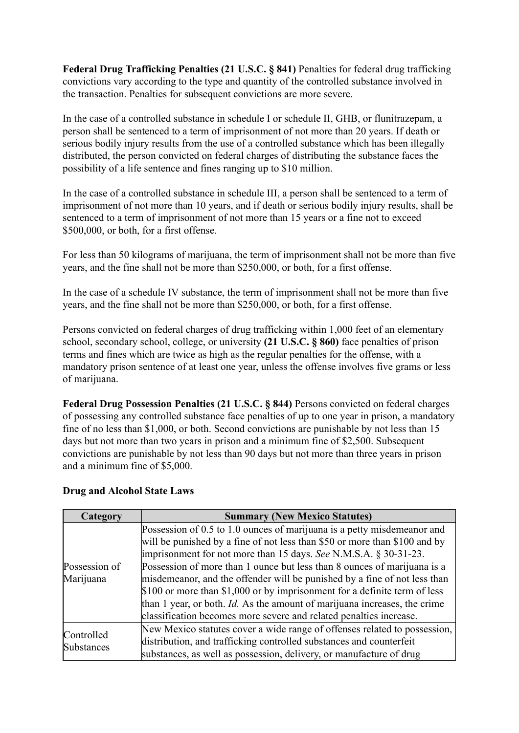**Federal Drug Trafficking Penalties (21 U.S.C. § 841)** Penalties for federal drug trafficking convictions vary according to the type and quantity of the controlled substance involved in the transaction. Penalties for subsequent convictions are more severe.

In the case of a controlled substance in schedule I or schedule II, GHB, or flunitrazepam, a person shall be sentenced to a term of imprisonment of not more than 20 years. If death or serious bodily injury results from the use of a controlled substance which has been illegally distributed, the person convicted on federal charges of distributing the substance faces the possibility of a life sentence and fines ranging up to \$10 million.

In the case of a controlled substance in schedule III, a person shall be sentenced to a term of imprisonment of not more than 10 years, and if death or serious bodily injury results, shall be sentenced to a term of imprisonment of not more than 15 years or a fine not to exceed \$500,000, or both, for a first offense.

For less than 50 kilograms of marijuana, the term of imprisonment shall not be more than five years, and the fine shall not be more than \$250,000, or both, for a first offense.

In the case of a schedule IV substance, the term of imprisonment shall not be more than five years, and the fine shall not be more than \$250,000, or both, for a first offense.

Persons convicted on federal charges of drug trafficking within 1,000 feet of an elementary school, secondary school, college, or university **(21 U.S.C. § 860)** face penalties of prison terms and fines which are twice as high as the regular penalties for the offense, with a mandatory prison sentence of at least one year, unless the offense involves five grams or less of marijuana.

**Federal Drug Possession Penalties (21 U.S.C. § 844)** Persons convicted on federal charges of possessing any controlled substance face penalties of up to one year in prison, a mandatory fine of no less than \$1,000, or both. Second convictions are punishable by not less than 15 days but not more than two years in prison and a minimum fine of \$2,500. Subsequent convictions are punishable by not less than 90 days but not more than three years in prison and a minimum fine of \$5,000.

#### **Drug and Alcohol State Laws**

| Category          | <b>Summary (New Mexico Statutes)</b>                                              |  |  |  |  |
|-------------------|-----------------------------------------------------------------------------------|--|--|--|--|
|                   | Possession of 0.5 to 1.0 ounces of marijuana is a petty misdemeanor and           |  |  |  |  |
|                   | will be punished by a fine of not less than \$50 or more than \$100 and by        |  |  |  |  |
|                   | imprisonment for not more than 15 days. See N.M.S.A. § 30-31-23.                  |  |  |  |  |
| Possession of     | Possession of more than 1 ounce but less than 8 ounces of marijuana is a          |  |  |  |  |
| Marijuana         | misdemeanor, and the offender will be punished by a fine of not less than         |  |  |  |  |
|                   | \$100 or more than \$1,000 or by imprisonment for a definite term of less         |  |  |  |  |
|                   | than 1 year, or both. <i>Id</i> . As the amount of marijuana increases, the crime |  |  |  |  |
|                   | classification becomes more severe and related penalties increase.                |  |  |  |  |
| Controlled        | New Mexico statutes cover a wide range of offenses related to possession,         |  |  |  |  |
| <b>Substances</b> | distribution, and trafficking controlled substances and counterfeit               |  |  |  |  |
|                   | substances, as well as possession, delivery, or manufacture of drug               |  |  |  |  |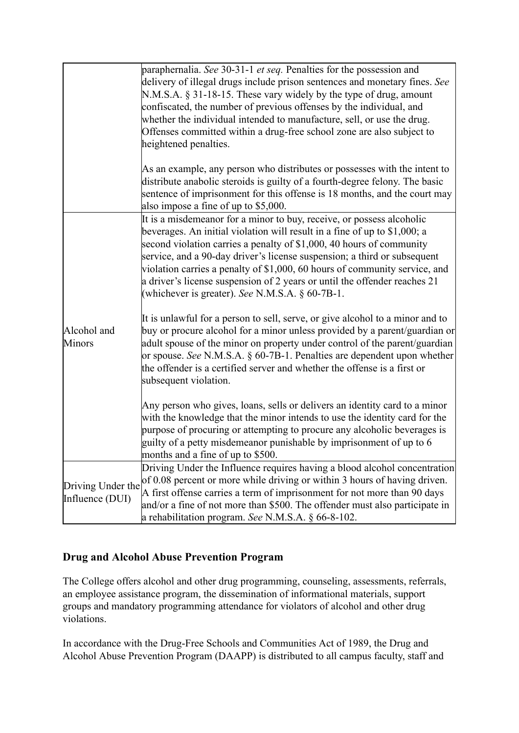|                                      | paraphernalia. See 30-31-1 et seq. Penalties for the possession and<br>delivery of illegal drugs include prison sentences and monetary fines. See<br>N.M.S.A. § 31-18-15. These vary widely by the type of drug, amount<br>confiscated, the number of previous offenses by the individual, and<br>whether the individual intended to manufacture, sell, or use the drug.<br>Offenses committed within a drug-free school zone are also subject to<br>heightened penalties.                                              |
|--------------------------------------|-------------------------------------------------------------------------------------------------------------------------------------------------------------------------------------------------------------------------------------------------------------------------------------------------------------------------------------------------------------------------------------------------------------------------------------------------------------------------------------------------------------------------|
|                                      | As an example, any person who distributes or possesses with the intent to<br>distribute anabolic steroids is guilty of a fourth-degree felony. The basic<br>sentence of imprisonment for this offense is 18 months, and the court may<br>also impose a fine of up to \$5,000.                                                                                                                                                                                                                                           |
|                                      | It is a misdemeanor for a minor to buy, receive, or possess alcoholic<br>beverages. An initial violation will result in a fine of up to \$1,000; a<br>second violation carries a penalty of \$1,000, 40 hours of community<br>service, and a 90-day driver's license suspension; a third or subsequent<br>violation carries a penalty of \$1,000, 60 hours of community service, and<br>a driver's license suspension of 2 years or until the offender reaches 21<br>(whichever is greater). See N.M.S.A. $\S$ 60-7B-1. |
| Alcohol and<br><b>Minors</b>         | It is unlawful for a person to sell, serve, or give alcohol to a minor and to<br>buy or procure alcohol for a minor unless provided by a parent/guardian or<br>adult spouse of the minor on property under control of the parent/guardian<br>or spouse. See N.M.S.A. $\S$ 60-7B-1. Penalties are dependent upon whether<br>the offender is a certified server and whether the offense is a first or<br>subsequent violation.                                                                                            |
|                                      | Any person who gives, loans, sells or delivers an identity card to a minor<br>with the knowledge that the minor intends to use the identity card for the<br>purpose of procuring or attempting to procure any alcoholic beverages is<br>guilty of a petty misdemeanor punishable by imprisonment of up to 6<br>months and a fine of up to \$500.                                                                                                                                                                        |
| Driving Under the<br>Influence (DUI) | Driving Under the Influence requires having a blood alcohol concentration<br>of 0.08 percent or more while driving or within 3 hours of having driven.<br>A first offense carries a term of imprisonment for not more than 90 days<br>and/or a fine of not more than \$500. The offender must also participate in<br>a rehabilitation program. See N.M.S.A. $\S$ 66-8-102.                                                                                                                                              |

# **Drug and Alcohol Abuse Prevention Program**

The College offers alcohol and other drug programming, counseling, assessments, referrals, an employee assistance program, the dissemination of informational materials, support groups and mandatory programming attendance for violators of alcohol and other drug violations.

In accordance with the Drug-Free Schools and Communities Act of 1989, the Drug and Alcohol Abuse Prevention Program (DAAPP) is distributed to all campus faculty, staff and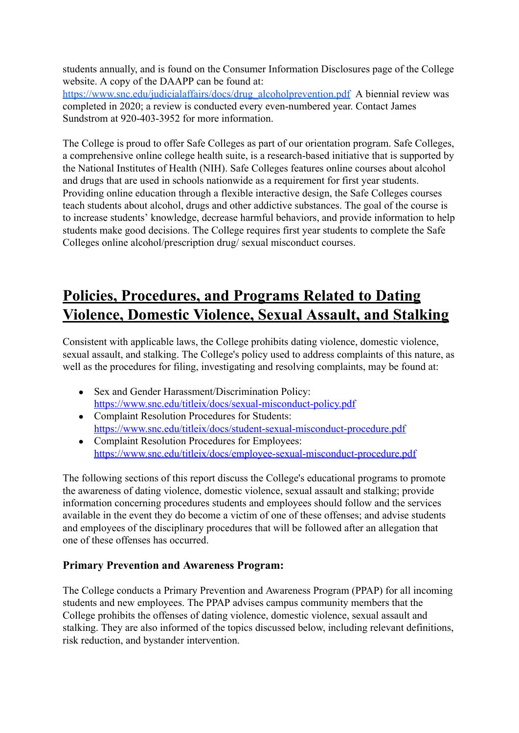students annually, and is found on the Consumer Information Disclosures page of the College website. A copy of the DAAPP can be found at:

[https://www.snc.edu/judicialaffairs/docs/drug\\_alcoholprevention.pdf](https://www.snc.edu/judicialaffairs/docs/drug_alcoholprevention.pdf) A biennial review was completed in 2020; a review is conducted every even-numbered year. Contact James Sundstrom at 920-403-3952 for more information.

The College is proud to offer Safe Colleges as part of our orientation program. Safe Colleges, a comprehensive online college health suite, is a research-based initiative that is supported by the National Institutes of Health (NIH). Safe Colleges features online courses about alcohol and drugs that are used in schools nationwide as a requirement for first year students. Providing online education through a flexible interactive design, the Safe Colleges courses teach students about alcohol, drugs and other addictive substances. The goal of the course is to increase students' knowledge, decrease harmful behaviors, and provide information to help students make good decisions. The College requires first year students to complete the Safe Colleges online alcohol/prescription drug/ sexual misconduct courses.

# **Policies, Procedures, and Programs Related to Dating Violence, Domestic Violence, Sexual Assault, and Stalking**

Consistent with applicable laws, the College prohibits dating violence, domestic violence, sexual assault, and stalking. The College's policy used to address complaints of this nature, as well as the procedures for filing, investigating and resolving complaints, may be found at:

- Sex and Gender Harassment/Discrimination Policy: <https://www.snc.edu/titleix/docs/sexual-misconduct-policy.pdf>
- Complaint Resolution Procedures for Students: <https://www.snc.edu/titleix/docs/student-sexual-misconduct-procedure.pdf>
- Complaint Resolution Procedures for Employees: [https://www.snc.edu/titleix/docs/employee-sexual-misconduct-procedure.pdf](https://www.snc.edu/titleix/docs/employee-sexual-misconduct-procedure.pdf%20)

The following sections of this report discuss the College's educational programs to promote the awareness of dating violence, domestic violence, sexual assault and stalking; provide information concerning procedures students and employees should follow and the services available in the event they do become a victim of one of these offenses; and advise students and employees of the disciplinary procedures that will be followed after an allegation that one of these offenses has occurred.

# **Primary Prevention and Awareness Program:**

The College conducts a Primary Prevention and Awareness Program (PPAP) for all incoming students and new employees. The PPAP advises campus community members that the College prohibits the offenses of dating violence, domestic violence, sexual assault and stalking. They are also informed of the topics discussed below, including relevant definitions, risk reduction, and bystander intervention.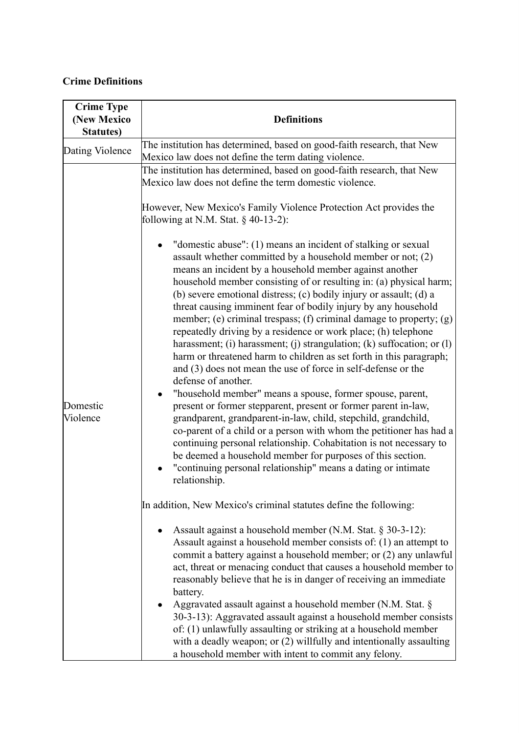# **Crime Definitions**

| <b>Crime Type</b><br>(New Mexico<br><b>Statutes</b> ) | <b>Definitions</b>                                                                                                                                                                                                                                                                                                                                                                                                                                                                                                                                                                                                                                                                                                                                                                                                                                                                                                                                                                                                                                                                                                                                                                                                                                                                                                                                                                                                                                                                                                                                                                                                                                                                                                                                                                                                                                                                                                                                                                                                                                                                                                                                                                                                                                                                                                             |
|-------------------------------------------------------|--------------------------------------------------------------------------------------------------------------------------------------------------------------------------------------------------------------------------------------------------------------------------------------------------------------------------------------------------------------------------------------------------------------------------------------------------------------------------------------------------------------------------------------------------------------------------------------------------------------------------------------------------------------------------------------------------------------------------------------------------------------------------------------------------------------------------------------------------------------------------------------------------------------------------------------------------------------------------------------------------------------------------------------------------------------------------------------------------------------------------------------------------------------------------------------------------------------------------------------------------------------------------------------------------------------------------------------------------------------------------------------------------------------------------------------------------------------------------------------------------------------------------------------------------------------------------------------------------------------------------------------------------------------------------------------------------------------------------------------------------------------------------------------------------------------------------------------------------------------------------------------------------------------------------------------------------------------------------------------------------------------------------------------------------------------------------------------------------------------------------------------------------------------------------------------------------------------------------------------------------------------------------------------------------------------------------------|
| Dating Violence                                       | The institution has determined, based on good-faith research, that New                                                                                                                                                                                                                                                                                                                                                                                                                                                                                                                                                                                                                                                                                                                                                                                                                                                                                                                                                                                                                                                                                                                                                                                                                                                                                                                                                                                                                                                                                                                                                                                                                                                                                                                                                                                                                                                                                                                                                                                                                                                                                                                                                                                                                                                         |
| Domestic<br>Violence                                  | Mexico law does not define the term dating violence.<br>The institution has determined, based on good-faith research, that New<br>Mexico law does not define the term domestic violence.<br>However, New Mexico's Family Violence Protection Act provides the<br>following at N.M. Stat. $\S$ 40-13-2):<br>"domestic abuse": (1) means an incident of stalking or sexual<br>assault whether committed by a household member or not; (2)<br>means an incident by a household member against another<br>household member consisting of or resulting in: (a) physical harm;<br>(b) severe emotional distress; (c) bodily injury or assault; (d) a<br>threat causing imminent fear of bodily injury by any household<br>member; (e) criminal trespass; (f) criminal damage to property; (g)<br>repeatedly driving by a residence or work place; (h) telephone<br>harassment; (i) harassment; (j) strangulation; (k) suffocation; or $(l)$<br>harm or threatened harm to children as set forth in this paragraph;<br>and (3) does not mean the use of force in self-defense or the<br>defense of another.<br>"household member" means a spouse, former spouse, parent,<br>present or former stepparent, present or former parent in-law,<br>grandparent, grandparent-in-law, child, stepchild, grandchild,<br>co-parent of a child or a person with whom the petitioner has had a<br>continuing personal relationship. Cohabitation is not necessary to<br>be deemed a household member for purposes of this section.<br>"continuing personal relationship" means a dating or intimate<br>relationship.<br>In addition, New Mexico's criminal statutes define the following:<br>Assault against a household member (N.M. Stat. § 30-3-12):<br>Assault against a household member consists of: (1) an attempt to<br>commit a battery against a household member; or (2) any unlawful<br>act, threat or menacing conduct that causes a household member to<br>reasonably believe that he is in danger of receiving an immediate<br>battery.<br>Aggravated assault against a household member (N.M. Stat. §<br>$\bullet$<br>30-3-13): Aggravated assault against a household member consists<br>of: (1) unlawfully assaulting or striking at a household member<br>with a deadly weapon; or (2) willfully and intentionally assaulting |
|                                                       | a household member with intent to commit any felony.                                                                                                                                                                                                                                                                                                                                                                                                                                                                                                                                                                                                                                                                                                                                                                                                                                                                                                                                                                                                                                                                                                                                                                                                                                                                                                                                                                                                                                                                                                                                                                                                                                                                                                                                                                                                                                                                                                                                                                                                                                                                                                                                                                                                                                                                           |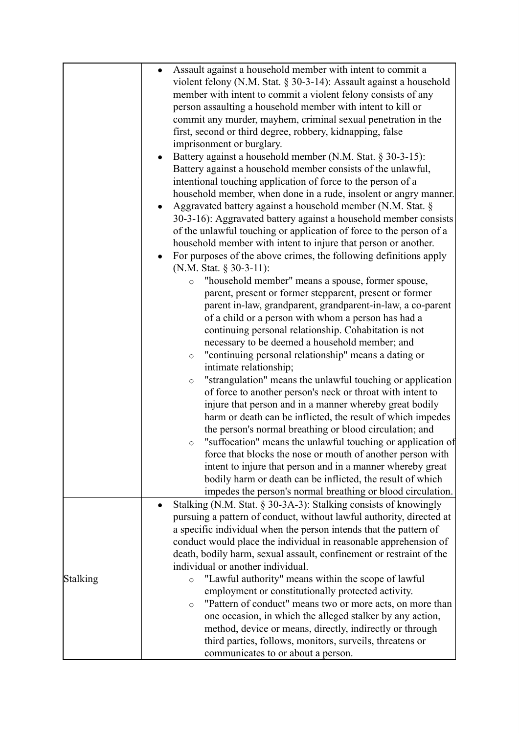|          | Assault against a household member with intent to commit a<br>$\bullet$ |
|----------|-------------------------------------------------------------------------|
|          | violent felony (N.M. Stat. § 30-3-14): Assault against a household      |
|          | member with intent to commit a violent felony consists of any           |
|          | person assaulting a household member with intent to kill or             |
|          | commit any murder, mayhem, criminal sexual penetration in the           |
|          | first, second or third degree, robbery, kidnapping, false               |
|          | imprisonment or burglary.                                               |
|          | Battery against a household member (N.M. Stat. § 30-3-15):              |
|          | Battery against a household member consists of the unlawful,            |
|          | intentional touching application of force to the person of a            |
|          | household member, when done in a rude, insolent or angry manner.        |
|          | Aggravated battery against a household member (N.M. Stat. §             |
|          | 30-3-16): Aggravated battery against a household member consists        |
|          | of the unlawful touching or application of force to the person of a     |
|          | household member with intent to injure that person or another.          |
|          | For purposes of the above crimes, the following definitions apply       |
|          | (N.M. Stat. § 30-3-11):                                                 |
|          | "household member" means a spouse, former spouse,<br>$\circ$            |
|          | parent, present or former stepparent, present or former                 |
|          | parent in-law, grandparent, grandparent-in-law, a co-parent             |
|          | of a child or a person with whom a person has had a                     |
|          | continuing personal relationship. Cohabitation is not                   |
|          | necessary to be deemed a household member; and                          |
|          | "continuing personal relationship" means a dating or<br>$\circ$         |
|          | intimate relationship;                                                  |
|          | "strangulation" means the unlawful touching or application<br>$\circ$   |
|          | of force to another person's neck or throat with intent to              |
|          | injure that person and in a manner whereby great bodily                 |
|          | harm or death can be inflicted, the result of which impedes             |
|          | the person's normal breathing or blood circulation; and                 |
|          | "suffocation" means the unlawful touching or application of<br>$\circ$  |
|          | force that blocks the nose or mouth of another person with              |
|          | intent to injure that person and in a manner whereby great              |
|          | bodily harm or death can be inflicted, the result of which              |
|          | impedes the person's normal breathing or blood circulation.             |
|          | Stalking (N.M. Stat. § 30-3A-3): Stalking consists of knowingly         |
|          | pursuing a pattern of conduct, without lawful authority, directed at    |
|          | a specific individual when the person intends that the pattern of       |
|          | conduct would place the individual in reasonable apprehension of        |
|          | death, bodily harm, sexual assault, confinement or restraint of the     |
|          | individual or another individual.                                       |
| Stalking | "Lawful authority" means within the scope of lawful<br>$\circ$          |
|          | employment or constitutionally protected activity.                      |
|          | "Pattern of conduct" means two or more acts, on more than<br>$\circ$    |
|          | one occasion, in which the alleged stalker by any action,               |
|          | method, device or means, directly, indirectly or through                |
|          | third parties, follows, monitors, surveils, threatens or                |
|          | communicates to or about a person.                                      |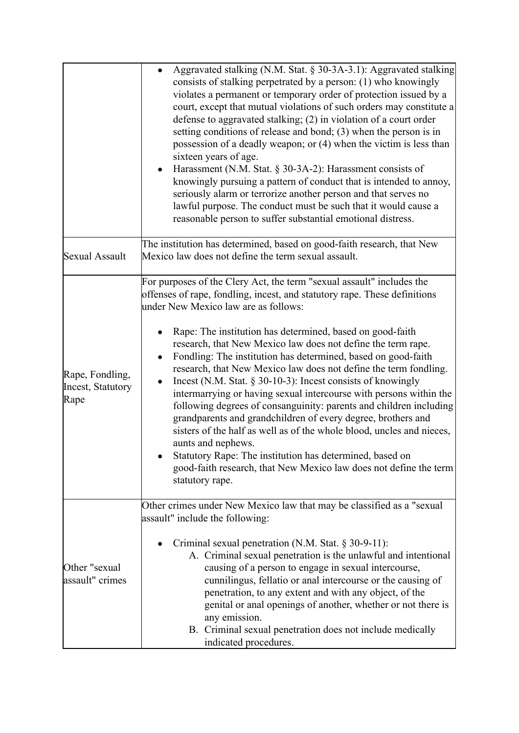|                                              | Aggravated stalking (N.M. Stat. § 30-3A-3.1): Aggravated stalking<br>$\bullet$<br>consists of stalking perpetrated by a person: (1) who knowingly<br>violates a permanent or temporary order of protection issued by a<br>court, except that mutual violations of such orders may constitute a<br>defense to aggravated stalking; (2) in violation of a court order<br>setting conditions of release and bond; $(3)$ when the person is in<br>possession of a deadly weapon; or (4) when the victim is less than<br>sixteen years of age.<br>Harassment (N.M. Stat. $\S$ 30-3A-2): Harassment consists of<br>knowingly pursuing a pattern of conduct that is intended to annoy,<br>seriously alarm or terrorize another person and that serves no<br>lawful purpose. The conduct must be such that it would cause a<br>reasonable person to suffer substantial emotional distress.                                                                                                                         |
|----------------------------------------------|------------------------------------------------------------------------------------------------------------------------------------------------------------------------------------------------------------------------------------------------------------------------------------------------------------------------------------------------------------------------------------------------------------------------------------------------------------------------------------------------------------------------------------------------------------------------------------------------------------------------------------------------------------------------------------------------------------------------------------------------------------------------------------------------------------------------------------------------------------------------------------------------------------------------------------------------------------------------------------------------------------|
| <b>Sexual Assault</b>                        | The institution has determined, based on good-faith research, that New<br>Mexico law does not define the term sexual assault.                                                                                                                                                                                                                                                                                                                                                                                                                                                                                                                                                                                                                                                                                                                                                                                                                                                                              |
| Rape, Fondling,<br>Incest, Statutory<br>Rape | For purposes of the Clery Act, the term "sexual assault" includes the<br>offenses of rape, fondling, incest, and statutory rape. These definitions<br>under New Mexico law are as follows:<br>Rape: The institution has determined, based on good-faith<br>research, that New Mexico law does not define the term rape.<br>Fondling: The institution has determined, based on good-faith<br>$\bullet$<br>research, that New Mexico law does not define the term fondling.<br>Incest (N.M. Stat. $\S$ 30-10-3): Incest consists of knowingly<br>intermarrying or having sexual intercourse with persons within the<br>following degrees of consanguinity: parents and children including<br>grandparents and grandchildren of every degree, brothers and<br>sisters of the half as well as of the whole blood, uncles and nieces,<br>aunts and nephews.<br>Statutory Rape: The institution has determined, based on<br>good-faith research, that New Mexico law does not define the term<br>statutory rape. |
| Other "sexual<br>assault" crimes             | Other crimes under New Mexico law that may be classified as a "sexual<br>assault" include the following:<br>Criminal sexual penetration (N.M. Stat. $\S 30-9-11$ ):<br>A. Criminal sexual penetration is the unlawful and intentional<br>causing of a person to engage in sexual intercourse,<br>cunnilingus, fellatio or anal intercourse or the causing of<br>penetration, to any extent and with any object, of the<br>genital or anal openings of another, whether or not there is<br>any emission.<br>B. Criminal sexual penetration does not include medically<br>indicated procedures.                                                                                                                                                                                                                                                                                                                                                                                                              |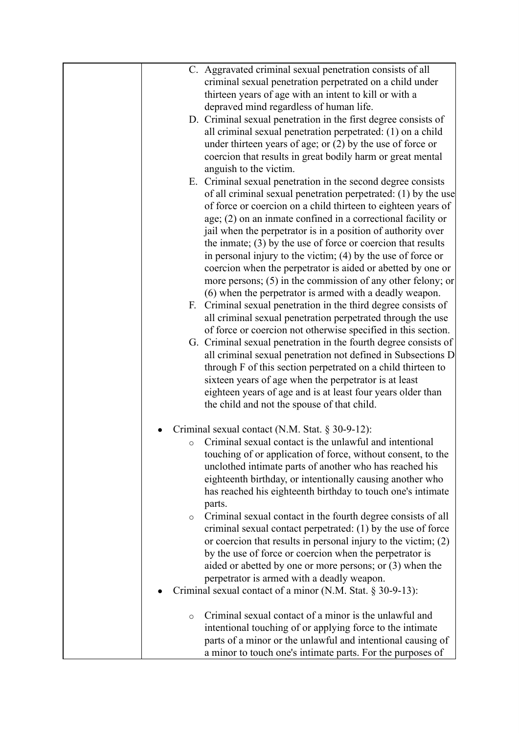|         | C. Aggravated criminal sexual penetration consists of all                                                                      |
|---------|--------------------------------------------------------------------------------------------------------------------------------|
|         | criminal sexual penetration perpetrated on a child under                                                                       |
|         | thirteen years of age with an intent to kill or with a                                                                         |
|         | depraved mind regardless of human life.                                                                                        |
|         | D. Criminal sexual penetration in the first degree consists of                                                                 |
|         | all criminal sexual penetration perpetrated: (1) on a child                                                                    |
|         | under thirteen years of age; or $(2)$ by the use of force or                                                                   |
|         | coercion that results in great bodily harm or great mental                                                                     |
|         | anguish to the victim.                                                                                                         |
|         | E. Criminal sexual penetration in the second degree consists                                                                   |
|         | of all criminal sexual penetration perpetrated: (1) by the use                                                                 |
|         | of force or coercion on a child thirteen to eighteen years of                                                                  |
|         | age; (2) on an inmate confined in a correctional facility or                                                                   |
|         | jail when the perpetrator is in a position of authority over<br>the inmate; $(3)$ by the use of force or coercion that results |
|         | in personal injury to the victim; $(4)$ by the use of force or                                                                 |
|         | coercion when the perpetrator is aided or abetted by one or                                                                    |
|         | more persons; $(5)$ in the commission of any other felony; or                                                                  |
|         | (6) when the perpetrator is armed with a deadly weapon.                                                                        |
|         | F. Criminal sexual penetration in the third degree consists of                                                                 |
|         | all criminal sexual penetration perpetrated through the use                                                                    |
|         | of force or coercion not otherwise specified in this section.                                                                  |
|         | G. Criminal sexual penetration in the fourth degree consists of                                                                |
|         | all criminal sexual penetration not defined in Subsections D                                                                   |
|         | through F of this section perpetrated on a child thirteen to                                                                   |
|         | sixteen years of age when the perpetrator is at least                                                                          |
|         | eighteen years of age and is at least four years older than                                                                    |
|         | the child and not the spouse of that child.                                                                                    |
|         |                                                                                                                                |
|         | Criminal sexual contact (N.M. Stat. § 30-9-12):                                                                                |
| $\circ$ | Criminal sexual contact is the unlawful and intentional                                                                        |
|         | touching of or application of force, without consent, to the                                                                   |
|         | unclothed intimate parts of another who has reached his                                                                        |
|         | eighteenth birthday, or intentionally causing another who                                                                      |
|         | has reached his eighteenth birthday to touch one's intimate                                                                    |
|         | parts.                                                                                                                         |
| $\circ$ | Criminal sexual contact in the fourth degree consists of all                                                                   |
|         | criminal sexual contact perpetrated: (1) by the use of force                                                                   |
|         | or coercion that results in personal injury to the victim; $(2)$                                                               |
|         | by the use of force or coercion when the perpetrator is                                                                        |
|         | aided or abetted by one or more persons; or $(3)$ when the                                                                     |
|         | perpetrator is armed with a deadly weapon.                                                                                     |
|         | Criminal sexual contact of a minor (N.M. Stat. § 30-9-13):                                                                     |
| $\circ$ | Criminal sexual contact of a minor is the unlawful and                                                                         |
|         | intentional touching of or applying force to the intimate                                                                      |
|         | parts of a minor or the unlawful and intentional causing of                                                                    |
|         | a minor to touch one's intimate parts. For the purposes of                                                                     |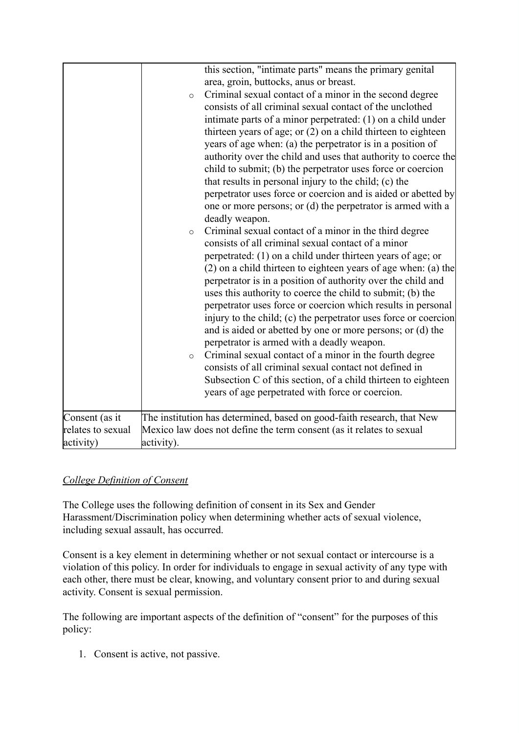|                   | this section, "intimate parts" means the primary genital<br>area, groin, buttocks, anus or breast.<br>Criminal sexual contact of a minor in the second degree<br>$\circ$<br>consists of all criminal sexual contact of the unclothed<br>intimate parts of a minor perpetrated: (1) on a child under<br>thirteen years of age; or $(2)$ on a child thirteen to eighteen<br>years of age when: (a) the perpetrator is in a position of<br>authority over the child and uses that authority to coerce the<br>child to submit; (b) the perpetrator uses force or coercion<br>that results in personal injury to the child; (c) the<br>perpetrator uses force or coercion and is aided or abetted by<br>one or more persons; or (d) the perpetrator is armed with a<br>deadly weapon.<br>Criminal sexual contact of a minor in the third degree<br>$\circ$<br>consists of all criminal sexual contact of a minor<br>perpetrated: (1) on a child under thirteen years of age; or<br>(2) on a child thirteen to eighteen years of age when: (a) the<br>perpetrator is in a position of authority over the child and<br>uses this authority to coerce the child to submit; (b) the<br>perpetrator uses force or coercion which results in personal<br>injury to the child; (c) the perpetrator uses force or coercion<br>and is aided or abetted by one or more persons; or (d) the<br>perpetrator is armed with a deadly weapon.<br>Criminal sexual contact of a minor in the fourth degree<br>$\circ$<br>consists of all criminal sexual contact not defined in<br>Subsection C of this section, of a child thirteen to eighteen<br>years of age perpetrated with force or coercion. |
|-------------------|--------------------------------------------------------------------------------------------------------------------------------------------------------------------------------------------------------------------------------------------------------------------------------------------------------------------------------------------------------------------------------------------------------------------------------------------------------------------------------------------------------------------------------------------------------------------------------------------------------------------------------------------------------------------------------------------------------------------------------------------------------------------------------------------------------------------------------------------------------------------------------------------------------------------------------------------------------------------------------------------------------------------------------------------------------------------------------------------------------------------------------------------------------------------------------------------------------------------------------------------------------------------------------------------------------------------------------------------------------------------------------------------------------------------------------------------------------------------------------------------------------------------------------------------------------------------------------------------------------------------------------------------------------------------------------|
| Consent (as it    | The institution has determined, based on good-faith research, that New                                                                                                                                                                                                                                                                                                                                                                                                                                                                                                                                                                                                                                                                                                                                                                                                                                                                                                                                                                                                                                                                                                                                                                                                                                                                                                                                                                                                                                                                                                                                                                                                         |
| relates to sexual | Mexico law does not define the term consent (as it relates to sexual                                                                                                                                                                                                                                                                                                                                                                                                                                                                                                                                                                                                                                                                                                                                                                                                                                                                                                                                                                                                                                                                                                                                                                                                                                                                                                                                                                                                                                                                                                                                                                                                           |
| activity)         | activity).                                                                                                                                                                                                                                                                                                                                                                                                                                                                                                                                                                                                                                                                                                                                                                                                                                                                                                                                                                                                                                                                                                                                                                                                                                                                                                                                                                                                                                                                                                                                                                                                                                                                     |
|                   |                                                                                                                                                                                                                                                                                                                                                                                                                                                                                                                                                                                                                                                                                                                                                                                                                                                                                                                                                                                                                                                                                                                                                                                                                                                                                                                                                                                                                                                                                                                                                                                                                                                                                |

# *College Definition of Consent*

The College uses the following definition of consent in its Sex and Gender Harassment/Discrimination policy when determining whether acts of sexual violence, including sexual assault, has occurred.

Consent is a key element in determining whether or not sexual contact or intercourse is a violation of this policy. In order for individuals to engage in sexual activity of any type with each other, there must be clear, knowing, and voluntary consent prior to and during sexual activity. Consent is sexual permission.

The following are important aspects of the definition of "consent" for the purposes of this policy:

1. Consent is active, not passive.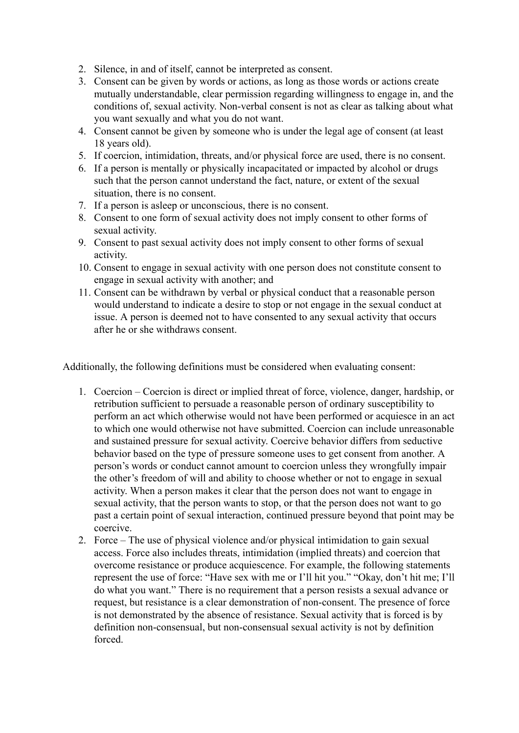2. Silence, in and of itself, cannot be interpreted as consent.

- 3. Consent can be given by words or actions, as long as those words or actions create mutually understandable, clear permission regarding willingness to engage in, and the conditions of, sexual activity. Non-verbal consent is not as clear as talking about what you want sexually and what you do not want.
- 4. Consent cannot be given by someone who is under the legal age of consent (at least 18 years old).
- 5. If coercion, intimidation, threats, and/or physical force are used, there is no consent.
- 6. If a person is mentally or physically incapacitated or impacted by alcohol or drugs such that the person cannot understand the fact, nature, or extent of the sexual situation, there is no consent.
- 7. If a person is asleep or unconscious, there is no consent.
- 8. Consent to one form of sexual activity does not imply consent to other forms of sexual activity.
- 9. Consent to past sexual activity does not imply consent to other forms of sexual activity.
- 10. Consent to engage in sexual activity with one person does not constitute consent to engage in sexual activity with another; and
- 11. Consent can be withdrawn by verbal or physical conduct that a reasonable person would understand to indicate a desire to stop or not engage in the sexual conduct at issue. A person is deemed not to have consented to any sexual activity that occurs after he or she withdraws consent.

Additionally, the following definitions must be considered when evaluating consent:

- 1. Coercion Coercion is direct or implied threat of force, violence, danger, hardship, or retribution sufficient to persuade a reasonable person of ordinary susceptibility to perform an act which otherwise would not have been performed or acquiesce in an act to which one would otherwise not have submitted. Coercion can include unreasonable and sustained pressure for sexual activity. Coercive behavior differs from seductive behavior based on the type of pressure someone uses to get consent from another. A person's words or conduct cannot amount to coercion unless they wrongfully impair the other's freedom of will and ability to choose whether or not to engage in sexual activity. When a person makes it clear that the person does not want to engage in sexual activity, that the person wants to stop, or that the person does not want to go past a certain point of sexual interaction, continued pressure beyond that point may be coercive.
- 2. Force The use of physical violence and/or physical intimidation to gain sexual access. Force also includes threats, intimidation (implied threats) and coercion that overcome resistance or produce acquiescence. For example, the following statements represent the use of force: "Have sex with me or I'll hit you." "Okay, don't hit me; I'll do what you want." There is no requirement that a person resists a sexual advance or request, but resistance is a clear demonstration of non-consent. The presence of force is not demonstrated by the absence of resistance. Sexual activity that is forced is by definition non-consensual, but non-consensual sexual activity is not by definition forced.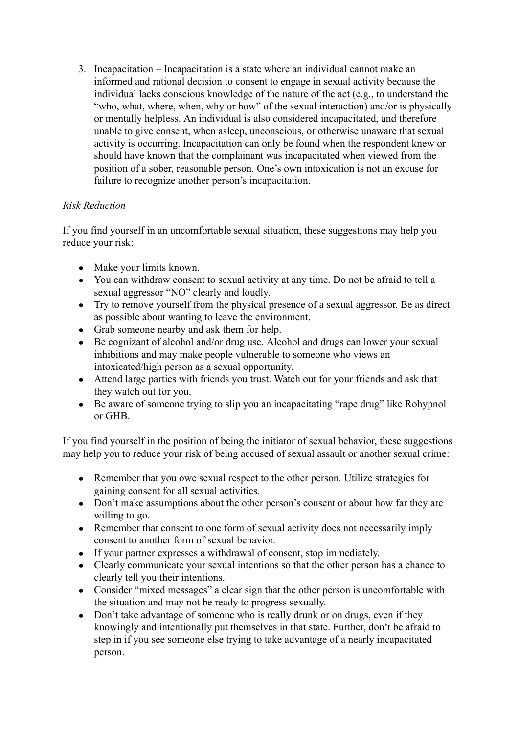3. Incapacitation – Incapacitation is a state where an individual cannot make an informed and rational decision to consent to engage in sexual activity because the individual lacks conscious knowledge of the nature of the act (e.g., to understand the "who, what, where, when, why or how" of the sexual interaction) and/or is physically or mentally helpless. An individual is also considered incapacitated, and therefore unable to give consent, when asleep, unconscious, or otherwise unaware that sexual activity is occurring. Incapacitation can only be found when the respondent knew or should have known that the complainant was incapacitated when viewed from the position of a sober, reasonable person. One's own intoxication is not an excuse for failure to recognize another person's incapacitation.

# *Risk Reduction*

If you find yourself in an uncomfortable sexual situation, these suggestions may help you reduce your risk:

- Make your limits known.
- You can withdraw consent to sexual activity at any time. Do not be afraid to tell a sexual aggressor "NO" clearly and loudly.
- Try to remove yourself from the physical presence of a sexual aggressor. Be as direct as possible about wanting to leave the environment.
- Grab someone nearby and ask them for help.
- Be cognizant of alcohol and/or drug use. Alcohol and drugs can lower your sexual inhibitions and may make people vulnerable to someone who views an intoxicated/high person as a sexual opportunity.
- Attend large parties with friends you trust. Watch out for your friends and ask that they watch out for you.
- Be aware of someone trying to slip you an incapacitating "rape drug" like Rohypnol or GHB.

If you find yourself in the position of being the initiator of sexual behavior, these suggestions may help you to reduce your risk of being accused of sexual assault or another sexual crime:

- Remember that you owe sexual respect to the other person. Utilize strategies for gaining consent for all sexual activities.
- Don't make assumptions about the other person's consent or about how far they are willing to go.
- Remember that consent to one form of sexual activity does not necessarily imply consent to another form of sexual behavior.
- If your partner expresses a withdrawal of consent, stop immediately.
- Clearly communicate your sexual intentions so that the other person has a chance to clearly tell you their intentions.
- Consider "mixed messages" a clear sign that the other person is uncomfortable with the situation and may not be ready to progress sexually.
- Don't take advantage of someone who is really drunk or on drugs, even if they knowingly and intentionally put themselves in that state. Further, don't be afraid to step in if you see someone else trying to take advantage of a nearly incapacitated person.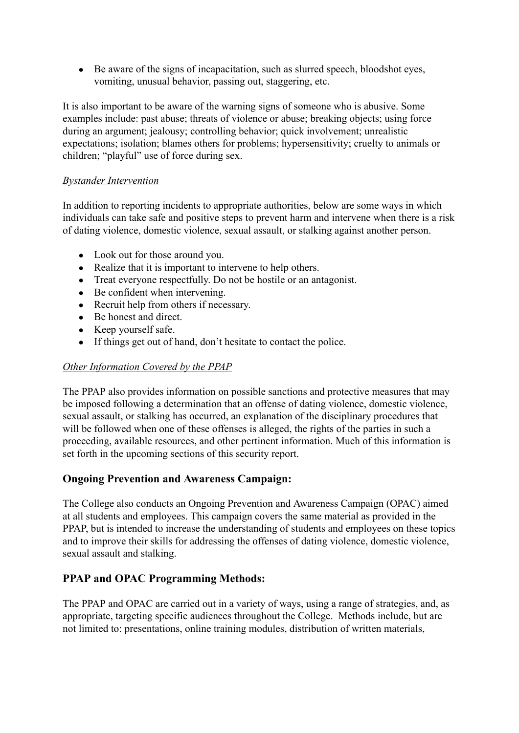• Be aware of the signs of incapacitation, such as slurred speech, bloodshot eyes, vomiting, unusual behavior, passing out, staggering, etc.

It is also important to be aware of the warning signs of someone who is abusive. Some examples include: past abuse; threats of violence or abuse; breaking objects; using force during an argument; jealousy; controlling behavior; quick involvement; unrealistic expectations; isolation; blames others for problems; hypersensitivity; cruelty to animals or children; "playful" use of force during sex.

### *Bystander Intervention*

In addition to reporting incidents to appropriate authorities, below are some ways in which individuals can take safe and positive steps to prevent harm and intervene when there is a risk of dating violence, domestic violence, sexual assault, or stalking against another person.

- Look out for those around you.
- Realize that it is important to intervene to help others.
- Treat everyone respectfully. Do not be hostile or an antagonist.
- Be confident when intervening.
- Recruit help from others if necessary.
- Be honest and direct.
- Keep yourself safe.
- If things get out of hand, don't hesitate to contact the police.

#### *Other Information Covered by the PPAP*

The PPAP also provides information on possible sanctions and protective measures that may be imposed following a determination that an offense of dating violence, domestic violence, sexual assault, or stalking has occurred, an explanation of the disciplinary procedures that will be followed when one of these offenses is alleged, the rights of the parties in such a proceeding, available resources, and other pertinent information. Much of this information is set forth in the upcoming sections of this security report.

# **Ongoing Prevention and Awareness Campaign:**

The College also conducts an Ongoing Prevention and Awareness Campaign (OPAC) aimed at all students and employees. This campaign covers the same material as provided in the PPAP, but is intended to increase the understanding of students and employees on these topics and to improve their skills for addressing the offenses of dating violence, domestic violence, sexual assault and stalking.

# **PPAP and OPAC Programming Methods:**

The PPAP and OPAC are carried out in a variety of ways, using a range of strategies, and, as appropriate, targeting specific audiences throughout the College. Methods include, but are not limited to: presentations, online training modules, distribution of written materials,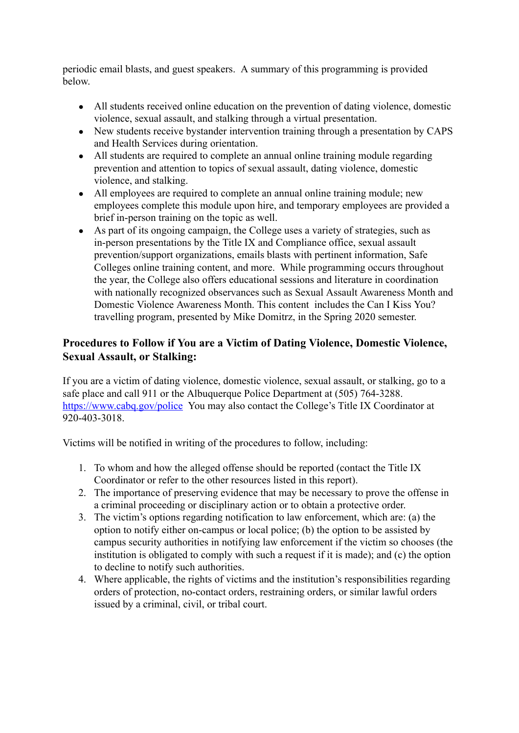periodic email blasts, and guest speakers. A summary of this programming is provided below.

- All students received online education on the prevention of dating violence, domestic violence, sexual assault, and stalking through a virtual presentation.
- New students receive bystander intervention training through a presentation by CAPS and Health Services during orientation.
- All students are required to complete an annual online training module regarding prevention and attention to topics of sexual assault, dating violence, domestic violence, and stalking.
- All employees are required to complete an annual online training module; new employees complete this module upon hire, and temporary employees are provided a brief in-person training on the topic as well.
- As part of its ongoing campaign, the College uses a variety of strategies, such as in-person presentations by the Title IX and Compliance office, sexual assault prevention/support organizations, emails blasts with pertinent information, Safe Colleges online training content, and more. While programming occurs throughout the year, the College also offers educational sessions and literature in coordination with nationally recognized observances such as Sexual Assault Awareness Month and Domestic Violence Awareness Month. This content includes the Can I Kiss You? travelling program, presented by Mike Domitrz, in the Spring 2020 semester.

# **Procedures to Follow if You are a Victim of Dating Violence, Domestic Violence, Sexual Assault, or Stalking:**

If you are a victim of dating violence, domestic violence, sexual assault, or stalking, go to a safe place and call 911 or the Albuquerque Police Department at (505) 764-3288. <https://www.cabq.gov/police> You may also contact the College's Title IX Coordinator at 920-403-3018.

Victims will be notified in writing of the procedures to follow, including:

- 1. To whom and how the alleged offense should be reported (contact the Title IX Coordinator or refer to the other resources listed in this report).
- 2. The importance of preserving evidence that may be necessary to prove the offense in a criminal proceeding or disciplinary action or to obtain a protective order.
- 3. The victim's options regarding notification to law enforcement, which are: (a) the option to notify either on-campus or local police; (b) the option to be assisted by campus security authorities in notifying law enforcement if the victim so chooses (the institution is obligated to comply with such a request if it is made); and (c) the option to decline to notify such authorities.
- 4. Where applicable, the rights of victims and the institution's responsibilities regarding orders of protection, no-contact orders, restraining orders, or similar lawful orders issued by a criminal, civil, or tribal court.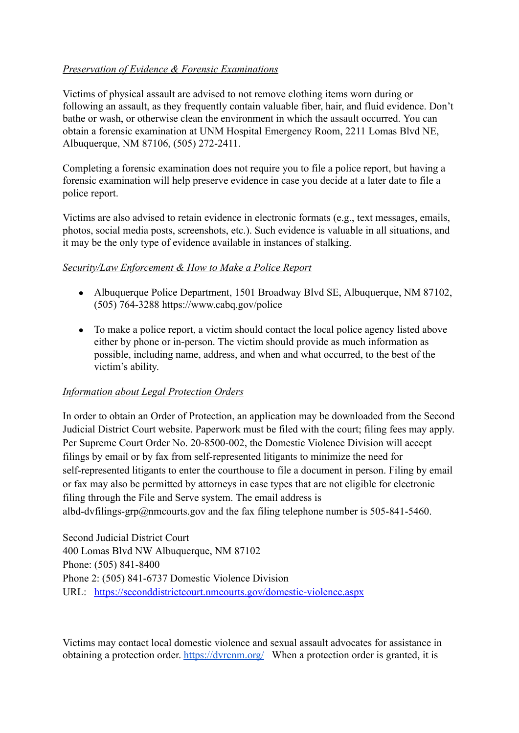### *Preservation of Evidence & Forensic Examinations*

Victims of physical assault are advised to not remove clothing items worn during or following an assault, as they frequently contain valuable fiber, hair, and fluid evidence. Don't bathe or wash, or otherwise clean the environment in which the assault occurred. You can obtain a forensic examination at UNM Hospital Emergency Room, 2211 Lomas Blvd NE, Albuquerque, NM 87106, (505) 272-2411.

Completing a forensic examination does not require you to file a police report, but having a forensic examination will help preserve evidence in case you decide at a later date to file a police report.

Victims are also advised to retain evidence in electronic formats (e.g., text messages, emails, photos, social media posts, screenshots, etc.). Such evidence is valuable in all situations, and it may be the only type of evidence available in instances of stalking.

#### *Security/Law Enforcement & How to Make a Police Report*

- Albuquerque Police Department, 1501 Broadway Blvd SE, Albuquerque, NM 87102, (505) 764-3288 https://www.cabq.gov/police
- To make a police report, a victim should contact the local police agency listed above either by phone or in-person. The victim should provide as much information as possible, including name, address, and when and what occurred, to the best of the victim's ability.

#### *Information about Legal Protection Orders*

In order to obtain an Order of Protection, an application may be downloaded from the Second Judicial District Court website. Paperwork must be filed with the court; filing fees may apply. Per Supreme Court Order No. 20-8500-002, the Domestic Violence Division will accept filings by email or by fax from self-represented litigants to minimize the need for self-represented litigants to enter the courthouse to file a document in person. Filing by email or fax may also be permitted by attorneys in case types that are not eligible for electronic filing through the File and Serve system. The email address is albd-dvfilings-grp@nmcourts.gov and the fax filing telephone number is 505-841-5460.

Second Judicial District Court 400 Lomas Blvd NW Albuquerque, NM 87102 Phone: (505) 841-8400 Phone 2: (505) 841-6737 Domestic Violence Division URL: <https://seconddistrictcourt.nmcourts.gov/domestic-violence.aspx>

Victims may contact local domestic violence and sexual assault advocates for assistance in obtaining a protection order. <https://dvrcnm.org/> When a protection order is granted, it is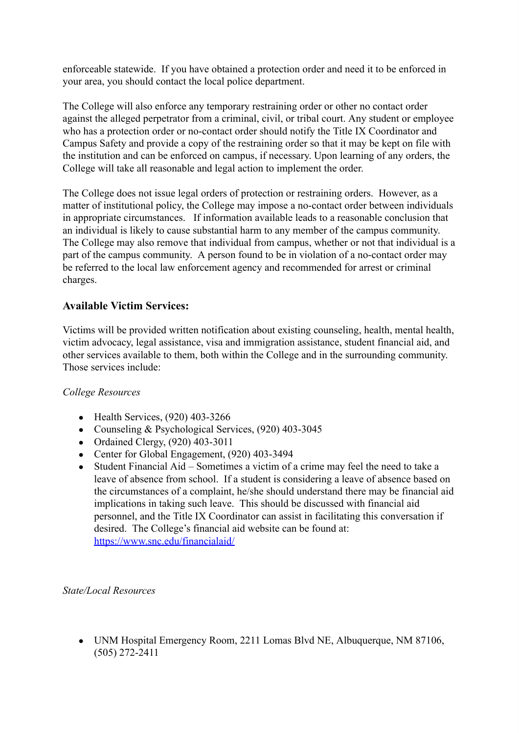enforceable statewide. If you have obtained a protection order and need it to be enforced in your area, you should contact the local police department.

The College will also enforce any temporary restraining order or other no contact order against the alleged perpetrator from a criminal, civil, or tribal court. Any student or employee who has a protection order or no-contact order should notify the Title IX Coordinator and Campus Safety and provide a copy of the restraining order so that it may be kept on file with the institution and can be enforced on campus, if necessary. Upon learning of any orders, the College will take all reasonable and legal action to implement the order.

The College does not issue legal orders of protection or restraining orders. However, as a matter of institutional policy, the College may impose a no-contact order between individuals in appropriate circumstances. If information available leads to a reasonable conclusion that an individual is likely to cause substantial harm to any member of the campus community. The College may also remove that individual from campus, whether or not that individual is a part of the campus community. A person found to be in violation of a no-contact order may be referred to the local law enforcement agency and recommended for arrest or criminal charges.

#### **Available Victim Services:**

Victims will be provided written notification about existing counseling, health, mental health, victim advocacy, legal assistance, visa and immigration assistance, student financial aid, and other services available to them, both within the College and in the surrounding community. Those services include:

#### *College Resources*

- Health Services,  $(920)$  403-3266
- Counseling & Psychological Services, (920) 403-3045
- Ordained Clergy, (920) 403-3011
- Center for Global Engagement, (920) 403-3494
- Student Financial Aid Sometimes a victim of a crime may feel the need to take a leave of absence from school. If a student is considering a leave of absence based on the circumstances of a complaint, he/she should understand there may be financial aid implications in taking such leave. This should be discussed with financial aid personnel, and the Title IX Coordinator can assist in facilitating this conversation if desired. The College's financial aid website can be found at: <https://www.snc.edu/financialaid/>

*State/Local Resources*

• UNM Hospital Emergency Room, 2211 Lomas Blvd NE, Albuquerque, NM 87106, (505) 272-2411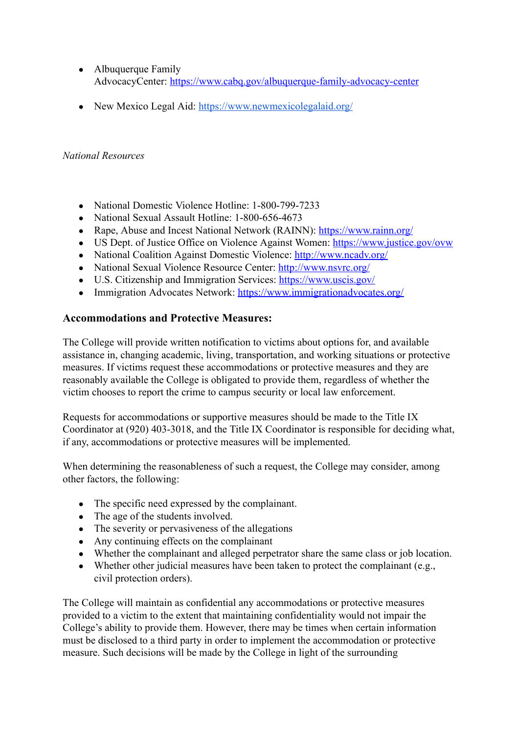- Albuquerque Family AdvocacyCenter: <https://www.cabq.gov/albuquerque-family-advocacy-center>
- New Mexico Legal Aid: <https://www.newmexicolegalaid.org/>

## *National Resources*

- National Domestic Violence Hotline: 1-800-799-7233
- National Sexual Assault Hotline: 1-800-656-4673
- Rape, Abuse and Incest National Network (RAINN): <https://www.rainn.org/>
- US Dept. of Justice Office on Violence Against Women: <https://www.justice.gov/ovw>
- National Coalition Against Domestic Violence: <http://www.ncadv.org/>
- National Sexual Violence Resource Center: <http://www.nsvrc.org/>
- U.S. Citizenship and Immigration Services: <https://www.uscis.gov/>
- Immigration Advocates Network: <https://www.immigrationadvocates.org/>

# **Accommodations and Protective Measures:**

The College will provide written notification to victims about options for, and available assistance in, changing academic, living, transportation, and working situations or protective measures. If victims request these accommodations or protective measures and they are reasonably available the College is obligated to provide them, regardless of whether the victim chooses to report the crime to campus security or local law enforcement.

Requests for accommodations or supportive measures should be made to the Title IX Coordinator at (920) 403-3018, and the Title IX Coordinator is responsible for deciding what, if any, accommodations or protective measures will be implemented.

When determining the reasonableness of such a request, the College may consider, among other factors, the following:

- The specific need expressed by the complainant.
- The age of the students involved.
- The severity or pervasiveness of the allegations
- Any continuing effects on the complainant
- Whether the complainant and alleged perpetrator share the same class or job location.
- Whether other judicial measures have been taken to protect the complainant  $(e.g.,)$ civil protection orders).

The College will maintain as confidential any accommodations or protective measures provided to a victim to the extent that maintaining confidentiality would not impair the College's ability to provide them. However, there may be times when certain information must be disclosed to a third party in order to implement the accommodation or protective measure. Such decisions will be made by the College in light of the surrounding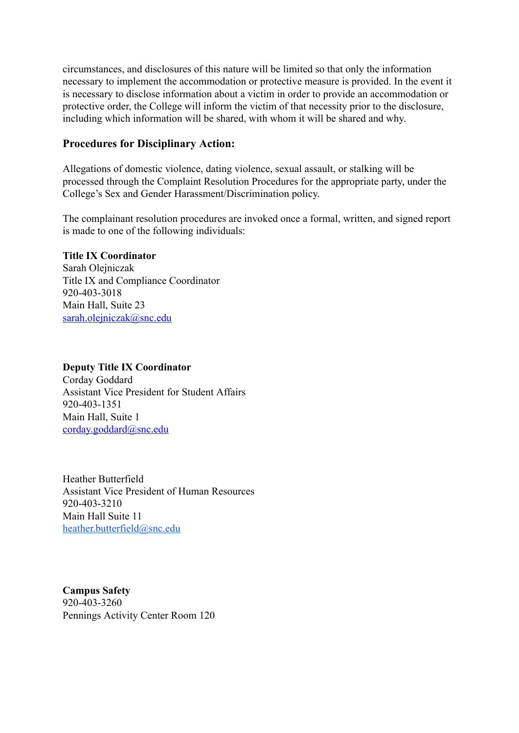circumstances, and disclosures of this nature will be limited so that only the information necessary to implement the accommodation or protective measure is provided. In the event it is necessary to disclose information about a victim in order to provide an accommodation or protective order, the College will inform the victim of that necessity prior to the disclosure, including which information will be shared, with whom it will be shared and why.

#### **Procedures for Disciplinary Action:**

Allegations of domestic violence, dating violence, sexual assault, or stalking will be processed through the Complaint Resolution Procedures for the appropriate party, under the College's Sex and Gender Harassment/Discrimination policy.

The complainant resolution procedures are invoked once a formal, written, and signed report is made to one of the following individuals:

#### **Title IX Coordinator**

Sarah Olejniczak Title IX and Compliance Coordinator 920-403-3018 Main Hall, Suite 23 [sarah.olejniczak@snc.edu](mailto:sarah.olejniczak@snc.edu)

#### **Deputy Title IX Coordinator**

Corday Goddard Assistant Vice President for Student Affairs 920-403-1351 Main Hall, Suite 1 [corday.goddard@snc.edu](mailto:corday.goddard@snc.edu)

Heather Butterfield Assistant Vice President of Human Resources 920-403-3210 Main Hall Suite 11 heather.butterfield@snc.edu

**Campus Safety** 920-403-3260 Pennings Activity Center Room 120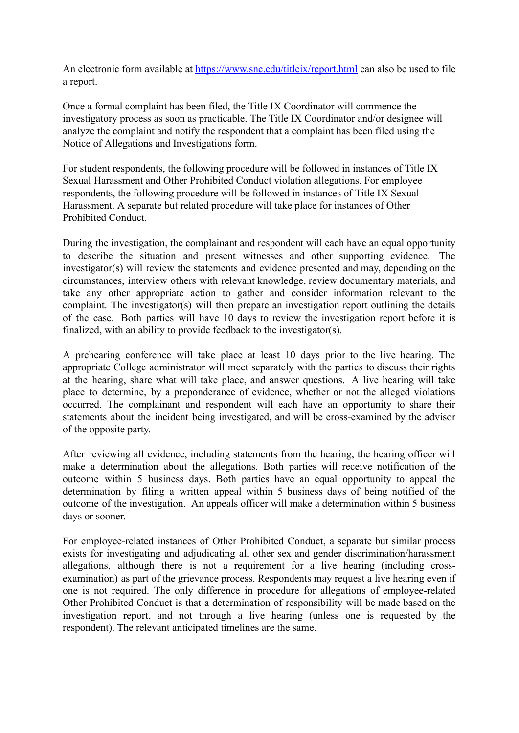An electronic form available at <https://www.snc.edu/titleix/report.html> can also be used to file a report.

Once a formal complaint has been filed, the Title IX Coordinator will commence the investigatory process as soon as practicable. The Title IX Coordinator and/or designee will analyze the complaint and notify the respondent that a complaint has been filed using the Notice of Allegations and Investigations form.

For student respondents, the following procedure will be followed in instances of Title IX Sexual Harassment and Other Prohibited Conduct violation allegations. For employee respondents, the following procedure will be followed in instances of Title IX Sexual Harassment. A separate but related procedure will take place for instances of Other Prohibited Conduct.

During the investigation, the complainant and respondent will each have an equal opportunity to describe the situation and present witnesses and other supporting evidence. The investigator(s) will review the statements and evidence presented and may, depending on the circumstances, interview others with relevant knowledge, review documentary materials, and take any other appropriate action to gather and consider information relevant to the complaint. The investigator(s) will then prepare an investigation report outlining the details of the case. Both parties will have 10 days to review the investigation report before it is finalized, with an ability to provide feedback to the investigator(s).

A prehearing conference will take place at least 10 days prior to the live hearing. The appropriate College administrator will meet separately with the parties to discuss their rights at the hearing, share what will take place, and answer questions. A live hearing will take place to determine, by a preponderance of evidence, whether or not the alleged violations occurred. The complainant and respondent will each have an opportunity to share their statements about the incident being investigated, and will be cross-examined by the advisor of the opposite party.

After reviewing all evidence, including statements from the hearing, the hearing officer will make a determination about the allegations. Both parties will receive notification of the outcome within 5 business days. Both parties have an equal opportunity to appeal the determination by filing a written appeal within 5 business days of being notified of the outcome of the investigation. An appeals officer will make a determination within 5 business days or sooner.

For employee-related instances of Other Prohibited Conduct, a separate but similar process exists for investigating and adjudicating all other sex and gender discrimination/harassment allegations, although there is not a requirement for a live hearing (including crossexamination) as part of the grievance process. Respondents may request a live hearing even if one is not required. The only difference in procedure for allegations of employee-related Other Prohibited Conduct is that a determination of responsibility will be made based on the investigation report, and not through a live hearing (unless one is requested by the respondent). The relevant anticipated timelines are the same.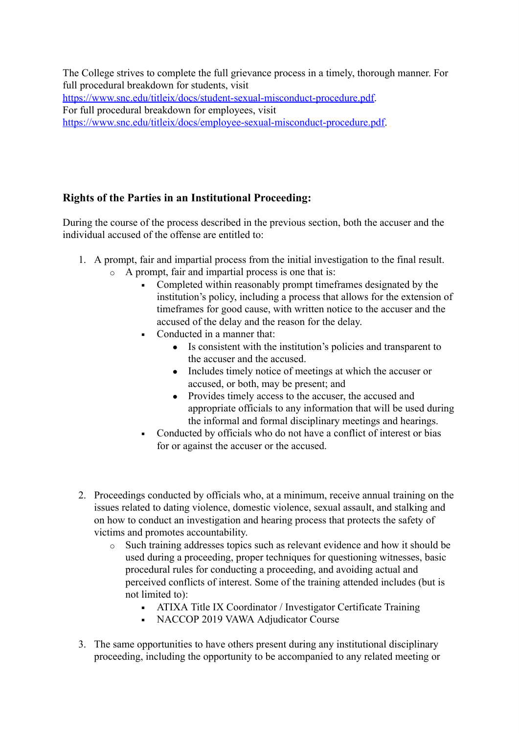The College strives to complete the full grievance process in a timely, thorough manner. For full procedural breakdown for students, visit [https://www.snc.edu/titleix/docs/student-sexual-misconduct-procedure.pdf.](https://www.snc.edu/titleix/docs/student-sexual-misconduct-procedure.pdf) For full procedural breakdown for employees, visit [https://www.snc.edu/titleix/docs/employee-sexual-misconduct-procedure.pdf.](https://www.snc.edu/titleix/docs/employee-sexual-misconduct-procedure.pdf)

# **Rights of the Parties in an Institutional Proceeding:**

During the course of the process described in the previous section, both the accuser and the individual accused of the offense are entitled to:

- 1. A prompt, fair and impartial process from the initial investigation to the final result. o A prompt, fair and impartial process is one that is:
	- Completed within reasonably prompt timeframes designated by the institution's policy, including a process that allows for the extension of timeframes for good cause, with written notice to the accuser and the accused of the delay and the reason for the delay.
	- Conducted in a manner that:
		- Is consistent with the institution's policies and transparent to the accuser and the accused.
		- Includes timely notice of meetings at which the accuser or accused, or both, may be present; and
		- Provides timely access to the accuser, the accused and appropriate officials to any information that will be used during the informal and formal disciplinary meetings and hearings.
	- Conducted by officials who do not have a conflict of interest or bias for or against the accuser or the accused.
- 2. Proceedings conducted by officials who, at a minimum, receive annual training on the issues related to dating violence, domestic violence, sexual assault, and stalking and on how to conduct an investigation and hearing process that protects the safety of victims and promotes accountability.
	- o Such training addresses topics such as relevant evidence and how it should be used during a proceeding, proper techniques for questioning witnesses, basic procedural rules for conducting a proceeding, and avoiding actual and perceived conflicts of interest. Some of the training attended includes (but is not limited to):
		- ATIXA Title IX Coordinator / Investigator Certificate Training
		- NACCOP 2019 VAWA Adjudicator Course
- 3. The same opportunities to have others present during any institutional disciplinary proceeding, including the opportunity to be accompanied to any related meeting or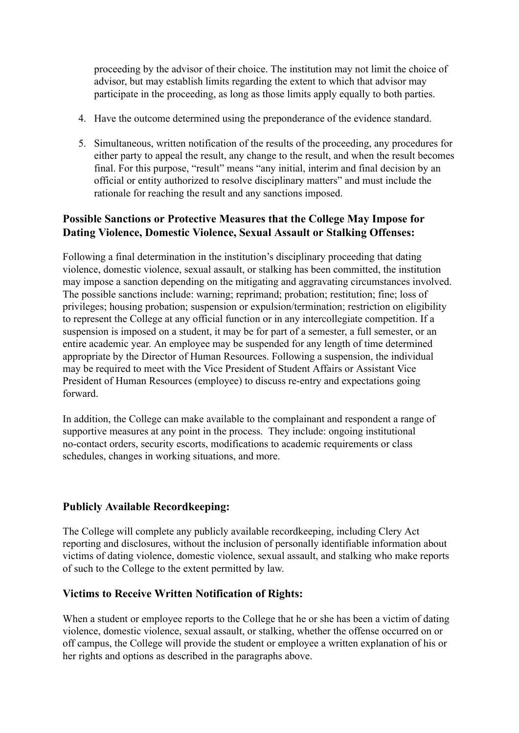proceeding by the advisor of their choice. The institution may not limit the choice of advisor, but may establish limits regarding the extent to which that advisor may participate in the proceeding, as long as those limits apply equally to both parties.

- 4. Have the outcome determined using the preponderance of the evidence standard.
- 5. Simultaneous, written notification of the results of the proceeding, any procedures for either party to appeal the result, any change to the result, and when the result becomes final. For this purpose, "result" means "any initial, interim and final decision by an official or entity authorized to resolve disciplinary matters" and must include the rationale for reaching the result and any sanctions imposed.

# **Possible Sanctions or Protective Measures that the College May Impose for Dating Violence, Domestic Violence, Sexual Assault or Stalking Offenses:**

Following a final determination in the institution's disciplinary proceeding that dating violence, domestic violence, sexual assault, or stalking has been committed, the institution may impose a sanction depending on the mitigating and aggravating circumstances involved. The possible sanctions include: warning; reprimand; probation; restitution; fine; loss of privileges; housing probation; suspension or expulsion/termination; restriction on eligibility to represent the College at any official function or in any intercollegiate competition. If a suspension is imposed on a student, it may be for part of a semester, a full semester, or an entire academic year. An employee may be suspended for any length of time determined appropriate by the Director of Human Resources. Following a suspension, the individual may be required to meet with the Vice President of Student Affairs or Assistant Vice President of Human Resources (employee) to discuss re-entry and expectations going forward.

In addition, the College can make available to the complainant and respondent a range of supportive measures at any point in the process. They include: ongoing institutional no-contact orders, security escorts, modifications to academic requirements or class schedules, changes in working situations, and more.

# **Publicly Available Recordkeeping:**

The College will complete any publicly available recordkeeping, including Clery Act reporting and disclosures, without the inclusion of personally identifiable information about victims of dating violence, domestic violence, sexual assault, and stalking who make reports of such to the College to the extent permitted by law.

# **Victims to Receive Written Notification of Rights:**

When a student or employee reports to the College that he or she has been a victim of dating violence, domestic violence, sexual assault, or stalking, whether the offense occurred on or off campus, the College will provide the student or employee a written explanation of his or her rights and options as described in the paragraphs above.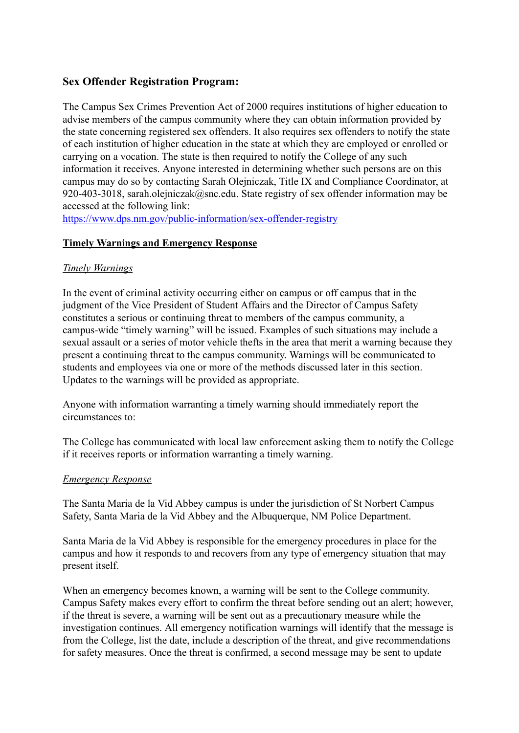# **Sex Offender Registration Program:**

The Campus Sex Crimes Prevention Act of 2000 requires institutions of higher education to advise members of the campus community where they can obtain information provided by the state concerning registered sex offenders. It also requires sex offenders to notify the state of each institution of higher education in the state at which they are employed or enrolled or carrying on a vocation. The state is then required to notify the College of any such information it receives. Anyone interested in determining whether such persons are on this campus may do so by contacting Sarah Olejniczak, Title IX and Compliance Coordinator, at 920-403-3018, sarah.olejniczak@snc.edu. State registry of sex offender information may be accessed at the following link:

<https://www.dps.nm.gov/public-information/sex-offender-registry>

#### **Timely Warnings and Emergency Response**

#### *Timely Warnings*

In the event of criminal activity occurring either on campus or off campus that in the judgment of the Vice President of Student Affairs and the Director of Campus Safety constitutes a serious or continuing threat to members of the campus community, a campus-wide "timely warning" will be issued. Examples of such situations may include a sexual assault or a series of motor vehicle thefts in the area that merit a warning because they present a continuing threat to the campus community. Warnings will be communicated to students and employees via one or more of the methods discussed later in this section. Updates to the warnings will be provided as appropriate.

Anyone with information warranting a timely warning should immediately report the circumstances to:

The College has communicated with local law enforcement asking them to notify the College if it receives reports or information warranting a timely warning.

#### *Emergency Response*

The Santa Maria de la Vid Abbey campus is under the jurisdiction of St Norbert Campus Safety, Santa Maria de la Vid Abbey and the Albuquerque, NM Police Department.

Santa Maria de la Vid Abbey is responsible for the emergency procedures in place for the campus and how it responds to and recovers from any type of emergency situation that may present itself.

When an emergency becomes known, a warning will be sent to the College community. Campus Safety makes every effort to confirm the threat before sending out an alert; however, if the threat is severe, a warning will be sent out as a precautionary measure while the investigation continues. All emergency notification warnings will identify that the message is from the College, list the date, include a description of the threat, and give recommendations for safety measures. Once the threat is confirmed, a second message may be sent to update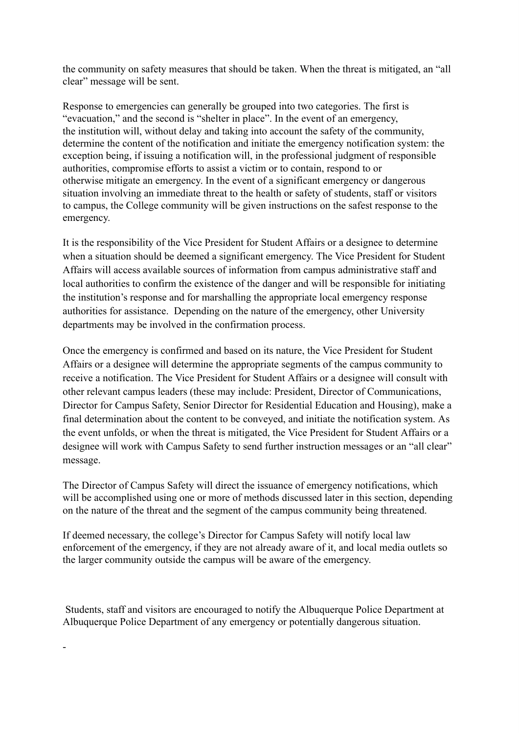the community on safety measures that should be taken. When the threat is mitigated, an "all clear" message will be sent.

Response to emergencies can generally be grouped into two categories. The first is "evacuation," and the second is "shelter in place". In the event of an emergency, the institution will, without delay and taking into account the safety of the community, determine the content of the notification and initiate the emergency notification system: the exception being, if issuing a notification will, in the professional judgment of responsible authorities, compromise efforts to assist a victim or to contain, respond to or otherwise mitigate an emergency. In the event of a significant emergency or dangerous situation involving an immediate threat to the health or safety of students, staff or visitors to campus, the College community will be given instructions on the safest response to the emergency.

It is the responsibility of the Vice President for Student Affairs or a designee to determine when a situation should be deemed a significant emergency. The Vice President for Student Affairs will access available sources of information from campus administrative staff and local authorities to confirm the existence of the danger and will be responsible for initiating the institution's response and for marshalling the appropriate local emergency response authorities for assistance. Depending on the nature of the emergency, other University departments may be involved in the confirmation process.

Once the emergency is confirmed and based on its nature, the Vice President for Student Affairs or a designee will determine the appropriate segments of the campus community to receive a notification. The Vice President for Student Affairs or a designee will consult with other relevant campus leaders (these may include: President, Director of Communications, Director for Campus Safety, Senior Director for Residential Education and Housing), make a final determination about the content to be conveyed, and initiate the notification system. As the event unfolds, or when the threat is mitigated, the Vice President for Student Affairs or a designee will work with Campus Safety to send further instruction messages or an "all clear" message.

The Director of Campus Safety will direct the issuance of emergency notifications, which will be accomplished using one or more of methods discussed later in this section, depending on the nature of the threat and the segment of the campus community being threatened.

If deemed necessary, the college's Director for Campus Safety will notify local law enforcement of the emergency, if they are not already aware of it, and local media outlets so the larger community outside the campus will be aware of the emergency.

Students, staff and visitors are encouraged to notify the Albuquerque Police Department at Albuquerque Police Department of any emergency or potentially dangerous situation.

-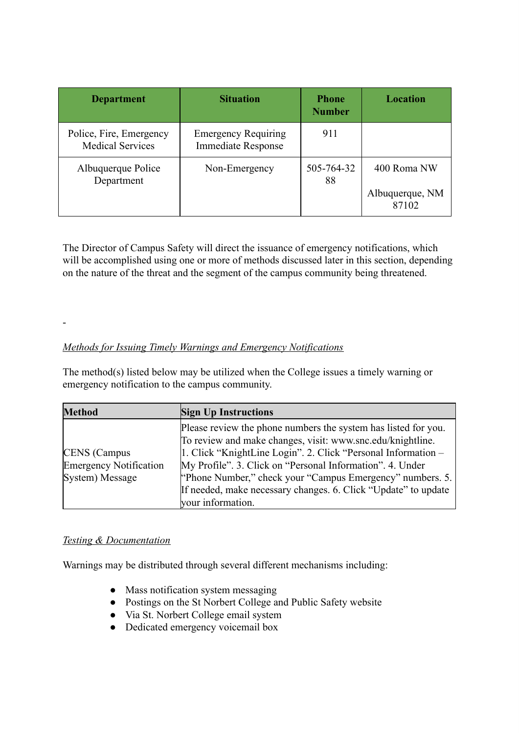| <b>Department</b>                                  | <b>Situation</b>                                        | <b>Phone</b><br><b>Number</b> | Location                                |
|----------------------------------------------------|---------------------------------------------------------|-------------------------------|-----------------------------------------|
| Police, Fire, Emergency<br><b>Medical Services</b> | <b>Emergency Requiring</b><br><b>Immediate Response</b> | 911                           |                                         |
| Albuquerque Police<br>Department                   | Non-Emergency                                           | 505-764-32<br>88              | 400 Roma NW<br>Albuquerque, NM<br>87102 |

The Director of Campus Safety will direct the issuance of emergency notifications, which will be accomplished using one or more of methods discussed later in this section, depending on the nature of the threat and the segment of the campus community being threatened.

# *Methods for Issuing Timely Warnings and Emergency Notifications*

The method(s) listed below may be utilized when the College issues a timely warning or emergency notification to the campus community.

| <b>Method</b>                                                           | <b>Sign Up Instructions</b>                                                                                                                                                                                                                                                                                                                                                                                    |
|-------------------------------------------------------------------------|----------------------------------------------------------------------------------------------------------------------------------------------------------------------------------------------------------------------------------------------------------------------------------------------------------------------------------------------------------------------------------------------------------------|
| <b>CENS</b> (Campus<br><b>Emergency Notification</b><br>System) Message | Please review the phone numbers the system has listed for you.<br>To review and make changes, visit: www.snc.edu/knightline.<br>1. Click "KnightLine Login". 2. Click "Personal Information -<br>My Profile". 3. Click on "Personal Information". 4. Under<br>"Phone Number," check your "Campus Emergency" numbers. 5.<br>If needed, make necessary changes. 6. Click "Update" to update<br>your information. |

#### *Testing & Documentation*

-

Warnings may be distributed through several different mechanisms including:

- Mass notification system messaging
- Postings on the St Norbert College and Public Safety website
- Via St. Norbert College email system
- Dedicated emergency voicemail box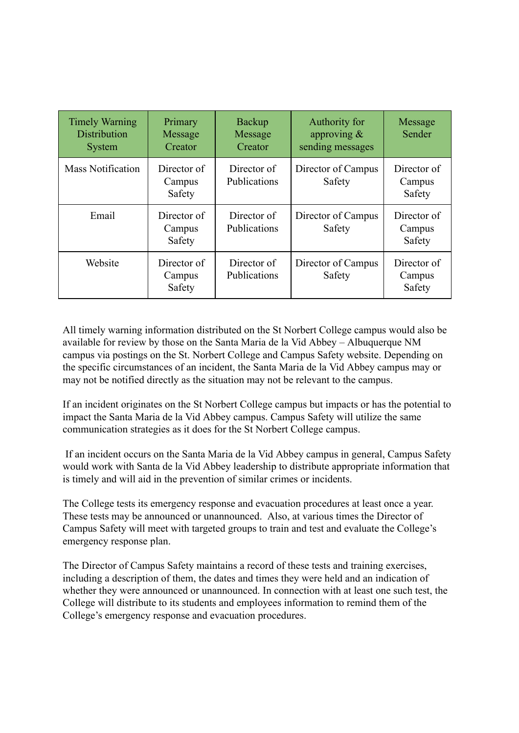| <b>Timely Warning</b><br><b>Distribution</b><br><b>System</b> | Primary<br>Message<br>Creator   | <b>Backup</b><br>Message<br>Creator | Authority for<br>approving $\&$<br>sending messages | Message<br>Sender               |
|---------------------------------------------------------------|---------------------------------|-------------------------------------|-----------------------------------------------------|---------------------------------|
| <b>Mass Notification</b>                                      | Director of<br>Campus<br>Safety | Director of<br>Publications         | Director of Campus<br>Safety                        | Director of<br>Campus<br>Safety |
| Email                                                         | Director of<br>Campus<br>Safety | Director of<br>Publications         | Director of Campus<br>Safety                        | Director of<br>Campus<br>Safety |
| Website                                                       | Director of<br>Campus<br>Safety | Director of<br>Publications         | Director of Campus<br>Safety                        | Director of<br>Campus<br>Safety |

All timely warning information distributed on the St Norbert College campus would also be available for review by those on the Santa Maria de la Vid Abbey – Albuquerque NM campus via postings on the St. Norbert College and Campus Safety website. Depending on the specific circumstances of an incident, the Santa Maria de la Vid Abbey campus may or may not be notified directly as the situation may not be relevant to the campus.

If an incident originates on the St Norbert College campus but impacts or has the potential to impact the Santa Maria de la Vid Abbey campus. Campus Safety will utilize the same communication strategies as it does for the St Norbert College campus.

If an incident occurs on the Santa Maria de la Vid Abbey campus in general, Campus Safety would work with Santa de la Vid Abbey leadership to distribute appropriate information that is timely and will aid in the prevention of similar crimes or incidents.

The College tests its emergency response and evacuation procedures at least once a year. These tests may be announced or unannounced. Also, at various times the Director of Campus Safety will meet with targeted groups to train and test and evaluate the College's emergency response plan.

The Director of Campus Safety maintains a record of these tests and training exercises, including a description of them, the dates and times they were held and an indication of whether they were announced or unannounced. In connection with at least one such test, the College will distribute to its students and employees information to remind them of the College's emergency response and evacuation procedures.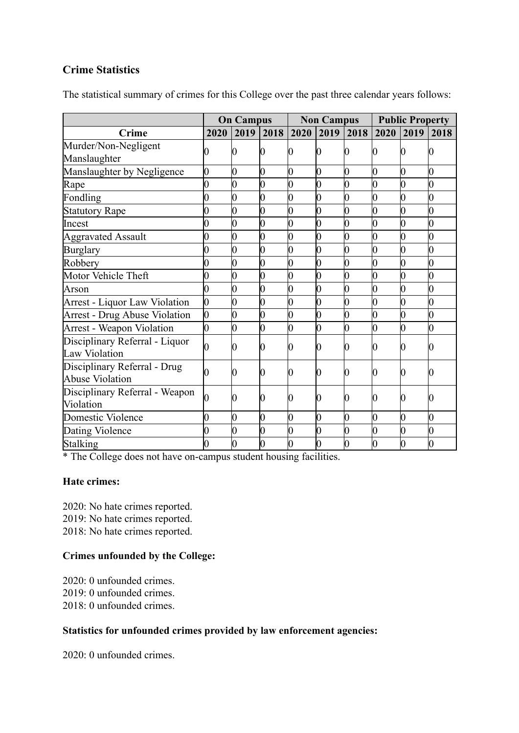# **Crime Statistics**

| The statistical summary of crimes for this College over the past three calendar years follows: |  |  |  |
|------------------------------------------------------------------------------------------------|--|--|--|
|                                                                                                |  |  |  |

|                                                        | <b>On Campus</b> |      | <b>Non Campus</b> |                |      | <b>Public Property</b> |                |      |      |
|--------------------------------------------------------|------------------|------|-------------------|----------------|------|------------------------|----------------|------|------|
| <b>Crime</b>                                           | 2020             | 2019 | 2018              | 2020           | 2019 | 2018                   | 2020           | 2019 | 2018 |
| Murder/Non-Negligent<br>Manslaughter                   |                  |      |                   |                |      |                        |                |      |      |
| Manslaughter by Negligence                             | 0                | 0    | 0                 | 0              | 0    | 0                      | 0              | 0    | 0    |
| Rape                                                   | $\overline{0}$   | 0    | 0                 | $\overline{0}$ | 0    | $\overline{0}$         |                | 0    | 0    |
| Fondling                                               | 0                | 0    | 0                 | O              | 0    | 0                      |                | 0    | 0    |
| <b>Statutory Rape</b>                                  | 0                | 0    | 0                 | 0              | 0    | 0                      | 0              | 0    | 0    |
| Incest                                                 |                  |      |                   |                |      | 0                      |                | 0    | 0    |
| <b>Aggravated Assault</b>                              | 0                | 0    | 0                 | 0              |      | 0                      | 0              | 0    | 0    |
| <b>Burglary</b>                                        |                  | 0    | 0                 | $\overline{0}$ |      | 0                      | 0              | 0    | 0    |
| Robbery                                                | 0                | 0    | 0                 | 0              | 0    | 0                      | $\overline{0}$ | 0    | 0    |
| Motor Vehicle Theft                                    |                  | 0    | 0                 | $\overline{0}$ |      | 0                      | 0              | 0    | 0    |
| Arson                                                  |                  |      | 0                 |                |      | 0                      |                |      | 0    |
| <b>Arrest - Liquor Law Violation</b>                   | $\overline{0}$   |      | 0                 | $\overline{0}$ |      | 0                      |                | 0    | 0    |
| <b>Arrest - Drug Abuse Violation</b>                   | $\overline{0}$   |      |                   | 0              |      | 0                      |                | 0    | 0    |
| <b>Arrest - Weapon Violation</b>                       | 0                | 0    | 0                 | 0              |      | 0                      | 0              | 0    | 0    |
| Disciplinary Referral - Liquor<br><b>Law Violation</b> |                  |      | 0                 | 0              |      | 0                      | 0              | 0    |      |
| Disciplinary Referral - Drug<br><b>Abuse Violation</b> | 0                | Ю    | 0                 | 0              |      | 0                      | 0              | 0    |      |
| Disciplinary Referral - Weapon<br>Violation            | 0                |      | D                 |                |      |                        |                | 0    |      |
| Domestic Violence                                      | 0                | 0    | 0                 | 0              | 0    | 0                      | 0              | 0    | 0    |
| Dating Violence                                        |                  | 0    | 0                 | 0              |      | 0                      | 0              | 0    | 0    |
| Stalking                                               | 0                |      |                   |                |      | 0                      |                | 0    | 0    |

\* The College does not have on-campus student housing facilities.

#### **Hate crimes:**

2020: No hate crimes reported. 2019: No hate crimes reported. 2018: No hate crimes reported.

# **Crimes unfounded by the College:**

2020: 0 unfounded crimes. 2019: 0 unfounded crimes. 2018: 0 unfounded crimes.

#### **Statistics for unfounded crimes provided by law enforcement agencies:**

2020: 0 unfounded crimes.